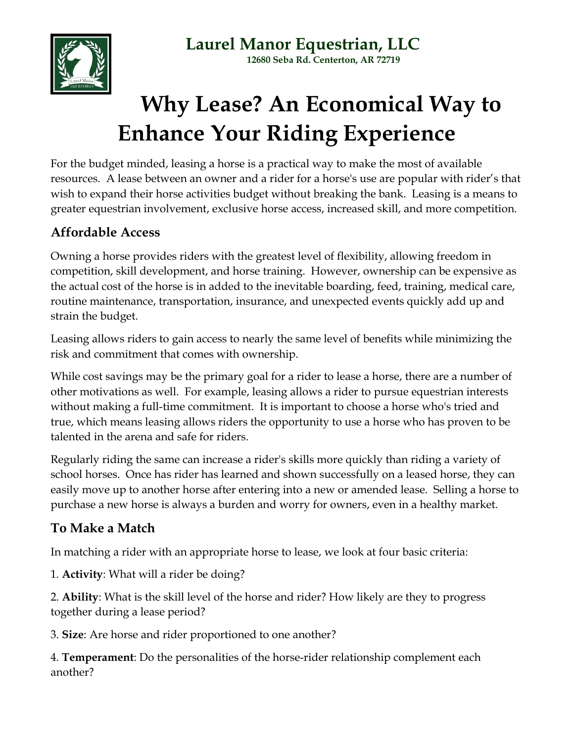

**Laurel Manor Equestrian, LLC 12680 Seba Rd. Centerton, AR 72719**

# **Why Lease? An Economical Way to Enhance Your Riding Experience**

For the budget minded, leasing a horse is a practical way to make the most of available resources. A lease between an owner and a rider for a horse's use are popular with rider's that wish to expand their horse activities budget without breaking the bank. Leasing is a means to greater equestrian involvement, exclusive horse access, increased skill, and more competition.

## **Affordable Access**

Owning a horse provides riders with the greatest level of flexibility, allowing freedom in competition, skill development, and horse training. However, ownership can be expensive as the actual cost of the horse is in added to the inevitable boarding, feed, training, medical care, routine maintenance, transportation, insurance, and unexpected events quickly add up and strain the budget.

Leasing allows riders to gain access to nearly the same level of benefits while minimizing the risk and commitment that comes with ownership.

While cost savings may be the primary goal for a rider to lease a horse, there are a number of other motivations as well. For example, leasing allows a rider to pursue equestrian interests without making a full-time commitment. It is important to choose a horse who's tried and true, which means leasing allows riders the opportunity to use a horse who has proven to be talented in the arena and safe for riders.

Regularly riding the same can increase a rider's skills more quickly than riding a variety of school horses. Once has rider has learned and shown successfully on a leased horse, they can easily move up to another horse after entering into a new or amended lease. Selling a horse to purchase a new horse is always a burden and worry for owners, even in a healthy market.

## **To Make a Match**

In matching a rider with an appropriate horse to lease, we look at four basic criteria:

1. **Activity**: What will a rider be doing?

2. **Ability**: What is the skill level of the horse and rider? How likely are they to progress together during a lease period?

3. **Size**: Are horse and rider proportioned to one another?

4. **Temperament**: Do the personalities of the horse-rider relationship complement each another?